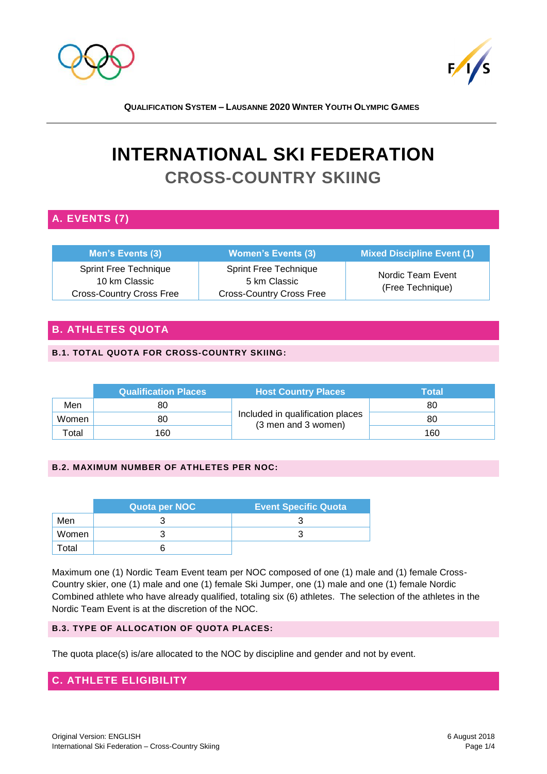



# **INTERNATIONAL SKI FEDERATION CROSS-COUNTRY SKIING**

# **A. EVENTS (7)**

| Men's Events (3)                                                                 | <b>Women's Events (3)</b>                                                       | <b>Mixed Discipline Event (1)</b>     |
|----------------------------------------------------------------------------------|---------------------------------------------------------------------------------|---------------------------------------|
| <b>Sprint Free Technique</b><br>10 km Classic<br><b>Cross-Country Cross Free</b> | <b>Sprint Free Technique</b><br>5 km Classic<br><b>Cross-Country Cross Free</b> | Nordic Team Event<br>(Free Technique) |

# **B. ATHLETES QUOTA**

## **B.1. TOTAL QUOTA FOR CROSS-COUNTRY SKIING:**

|                   | <b>Qualification Places</b> | <b>Host Country Places</b>                              | Total |
|-------------------|-----------------------------|---------------------------------------------------------|-------|
| Men               | 80                          |                                                         | 80    |
| Women             | 80                          | Included in qualification places<br>(3 men and 3 women) | 80    |
| <sup>-</sup> otal | 160                         |                                                         | 160   |

## **B.2. MAXIMUM NUMBER OF ATHLETES PER NOC:**

|                   | Quota per NOC | <b>Event Specific Quota</b> |
|-------------------|---------------|-----------------------------|
| Men               |               |                             |
| Women             |               |                             |
| otal <sup>-</sup> |               |                             |

Maximum one (1) Nordic Team Event team per NOC composed of one (1) male and (1) female Cross-Country skier, one (1) male and one (1) female Ski Jumper, one (1) male and one (1) female Nordic Combined athlete who have already qualified, totaling six (6) athletes. The selection of the athletes in the Nordic Team Event is at the discretion of the NOC.

## **B.3. TYPE OF ALLOCATION OF QUOTA PLACES:**

The quota place(s) is/are allocated to the NOC by discipline and gender and not by event.

# **C. ATHLETE ELIGIBILITY**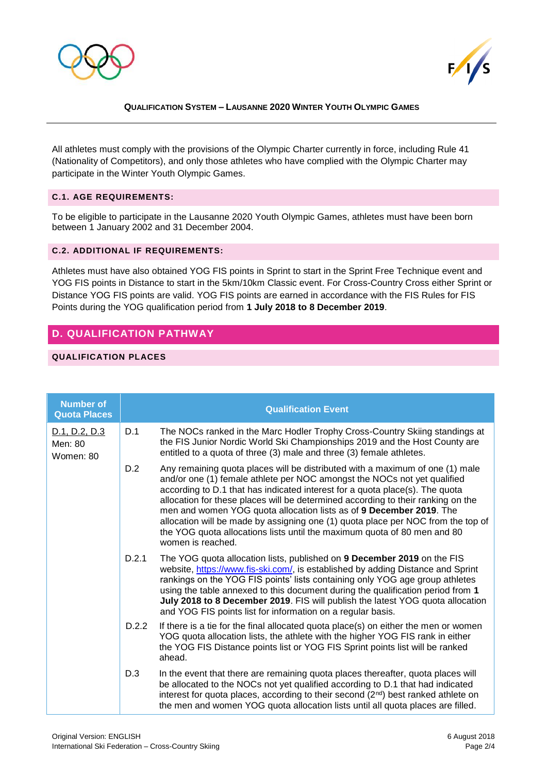



All athletes must comply with the provisions of the Olympic Charter currently in force, including Rule 41 (Nationality of Competitors), and only those athletes who have complied with the Olympic Charter may participate in the Winter Youth Olympic Games.

#### **C.1. AGE REQUIREMENTS:**

To be eligible to participate in the Lausanne 2020 Youth Olympic Games, athletes must have been born between 1 January 2002 and 31 December 2004.

#### **C.2. ADDITIONAL IF REQUIREMENTS:**

Athletes must have also obtained YOG FIS points in Sprint to start in the Sprint Free Technique event and YOG FIS points in Distance to start in the 5km/10km Classic event. For Cross-Country Cross either Sprint or Distance YOG FIS points are valid. YOG FIS points are earned in accordance with the FIS Rules for FIS Points during the YOG qualification period from **1 July 2018 to 8 December 2019**.

# **D. QUALIFICATION PATHWAY**

## **QUALIFICATION PLACES**

| <b>Number of</b><br><b>Quota Places</b> |       | <b>Qualification Event</b>                                                                                                                                                                                                                                                                                                                                                                                                                                                                                                                                                                |
|-----------------------------------------|-------|-------------------------------------------------------------------------------------------------------------------------------------------------------------------------------------------------------------------------------------------------------------------------------------------------------------------------------------------------------------------------------------------------------------------------------------------------------------------------------------------------------------------------------------------------------------------------------------------|
| D.1, D.2, D.3<br>Men: 80<br>Women: 80   | D.1   | The NOCs ranked in the Marc Hodler Trophy Cross-Country Skiing standings at<br>the FIS Junior Nordic World Ski Championships 2019 and the Host County are<br>entitled to a quota of three (3) male and three (3) female athletes.                                                                                                                                                                                                                                                                                                                                                         |
|                                         | D.2   | Any remaining quota places will be distributed with a maximum of one (1) male<br>and/or one (1) female athlete per NOC amongst the NOCs not yet qualified<br>according to D.1 that has indicated interest for a quota place(s). The quota<br>allocation for these places will be determined according to their ranking on the<br>men and women YOG quota allocation lists as of 9 December 2019. The<br>allocation will be made by assigning one (1) quota place per NOC from the top of<br>the YOG quota allocations lists until the maximum quota of 80 men and 80<br>women is reached. |
|                                         | D.2.1 | The YOG quota allocation lists, published on 9 December 2019 on the FIS<br>website, https://www.fis-ski.com/, is established by adding Distance and Sprint<br>rankings on the YOG FIS points' lists containing only YOG age group athletes<br>using the table annexed to this document during the qualification period from 1<br>July 2018 to 8 December 2019. FIS will publish the latest YOG quota allocation<br>and YOG FIS points list for information on a regular basis.                                                                                                            |
|                                         | D.2.2 | If there is a tie for the final allocated quota place(s) on either the men or women<br>YOG quota allocation lists, the athlete with the higher YOG FIS rank in either<br>the YOG FIS Distance points list or YOG FIS Sprint points list will be ranked<br>ahead.                                                                                                                                                                                                                                                                                                                          |
|                                         | D.3   | In the event that there are remaining quota places thereafter, quota places will<br>be allocated to the NOCs not yet qualified according to D.1 that had indicated<br>interest for quota places, according to their second (2 <sup>nd</sup> ) best ranked athlete on<br>the men and women YOG quota allocation lists until all quota places are filled.                                                                                                                                                                                                                                   |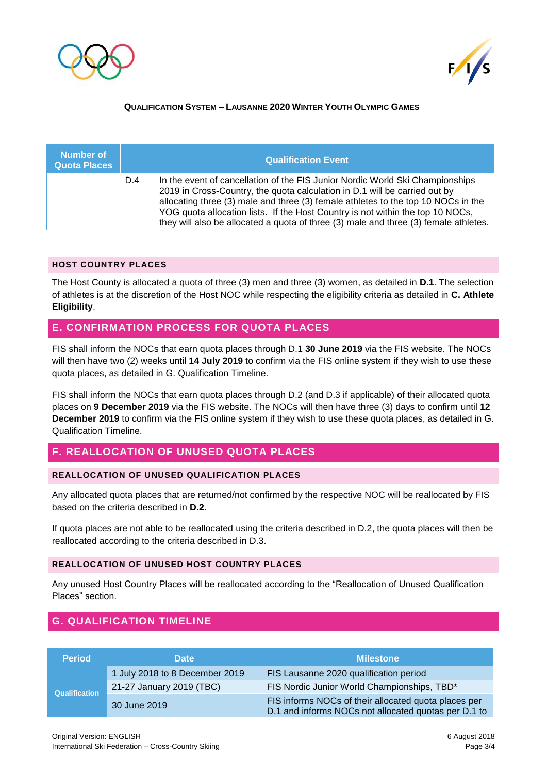



| Number of<br><b>Quota Places</b> |     | <b>Qualification Event</b>                                                                                                                                                                                                                                                                                                                                                                                                 |
|----------------------------------|-----|----------------------------------------------------------------------------------------------------------------------------------------------------------------------------------------------------------------------------------------------------------------------------------------------------------------------------------------------------------------------------------------------------------------------------|
|                                  | D.4 | In the event of cancellation of the FIS Junior Nordic World Ski Championships<br>2019 in Cross-Country, the quota calculation in D.1 will be carried out by<br>allocating three (3) male and three (3) female athletes to the top 10 NOCs in the<br>YOG quota allocation lists. If the Host Country is not within the top 10 NOCs,<br>they will also be allocated a quota of three (3) male and three (3) female athletes. |

#### **HOST COUNTRY PLACES**

The Host County is allocated a quota of three (3) men and three (3) women, as detailed in **D.1**. The selection of athletes is at the discretion of the Host NOC while respecting the eligibility criteria as detailed in **C. Athlete Eligibility**.

## **E. CONFIRMATION PROCESS FOR QUOTA PLACES**

FIS shall inform the NOCs that earn quota places through D.1 **30 June 2019** via the FIS website. The NOCs will then have two (2) weeks until **14 July 2019** to confirm via the FIS online system if they wish to use these quota places, as detailed in G. Qualification Timeline.

FIS shall inform the NOCs that earn quota places through D.2 (and D.3 if applicable) of their allocated quota places on **9 December 2019** via the FIS website. The NOCs will then have three (3) days to confirm until **12 December 2019** to confirm via the FIS online system if they wish to use these quota places, as detailed in G. Qualification Timeline.

# **F. REALLOCATION OF UNUSED QUOTA PLACES**

### **REALLOCATION OF UNUSED QUALIFICATION PLACES**

Any allocated quota places that are returned/not confirmed by the respective NOC will be reallocated by FIS based on the criteria described in **D.2**.

If quota places are not able to be reallocated using the criteria described in D.2, the quota places will then be reallocated according to the criteria described in D.3.

## **REALLOCATION OF UNUSED HOST COUNTRY PLACES**

Any unused Host Country Places will be reallocated according to the "Reallocation of Unused Qualification Places" section.

# **G. QUALIFICATION TIMELINE**

| <b>Period</b> | <b>Date</b>                    | <b>Milestone</b>                                                                                             |
|---------------|--------------------------------|--------------------------------------------------------------------------------------------------------------|
|               | 1 July 2018 to 8 December 2019 | FIS Lausanne 2020 qualification period                                                                       |
| Qualification | 21-27 January 2019 (TBC)       | FIS Nordic Junior World Championships, TBD*                                                                  |
|               | 30 June 2019                   | FIS informs NOCs of their allocated quota places per<br>D.1 and informs NOCs not allocated quotas per D.1 to |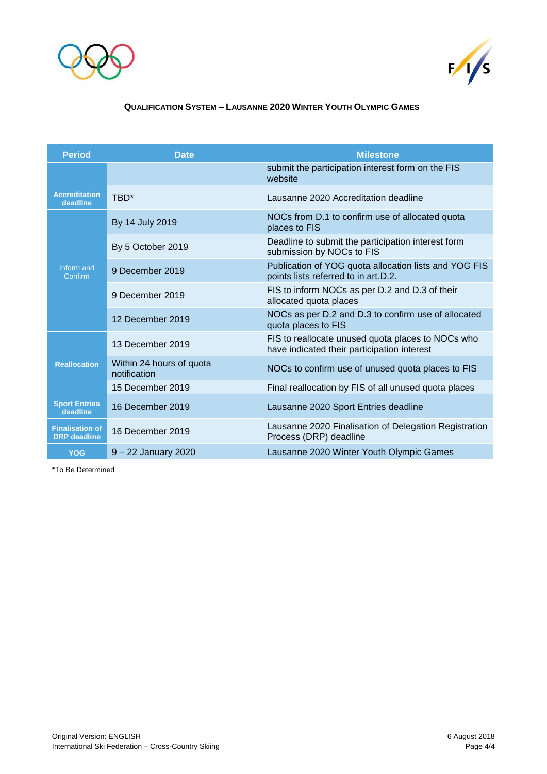



| <b>Period</b>                                 | <b>Date</b>                              | <b>Milestone</b>                                                                                 |
|-----------------------------------------------|------------------------------------------|--------------------------------------------------------------------------------------------------|
|                                               |                                          | submit the participation interest form on the FIS<br>website                                     |
| <b>Accreditation</b><br>deadline              | TBD*                                     | Lausanne 2020 Accreditation deadline                                                             |
|                                               | By 14 July 2019                          | NOCs from D.1 to confirm use of allocated quota<br>places to FIS                                 |
|                                               | By 5 October 2019                        | Deadline to submit the participation interest form<br>submission by NOCs to FIS                  |
| Inform and<br>Confirm                         | 9 December 2019                          | Publication of YOG quota allocation lists and YOG FIS<br>points lists referred to in art.D.2.    |
|                                               | 9 December 2019                          | FIS to inform NOCs as per D.2 and D.3 of their<br>allocated quota places                         |
|                                               | 12 December 2019                         | NOCs as per D.2 and D.3 to confirm use of allocated<br>quota places to FIS                       |
|                                               | 13 December 2019                         | FIS to reallocate unused quota places to NOCs who<br>have indicated their participation interest |
| <b>Reallocation</b>                           | Within 24 hours of quota<br>notification | NOCs to confirm use of unused quota places to FIS                                                |
|                                               | 15 December 2019                         | Final reallocation by FIS of all unused quota places                                             |
| <b>Sport Entries</b><br>deadline              | 16 December 2019                         | Lausanne 2020 Sport Entries deadline                                                             |
| <b>Finalisation of</b><br><b>DRP</b> deadline | 16 December 2019                         | Lausanne 2020 Finalisation of Delegation Registration<br>Process (DRP) deadline                  |
| <b>YOG</b>                                    | $9 - 22$ January 2020                    | Lausanne 2020 Winter Youth Olympic Games                                                         |

\*To Be Determined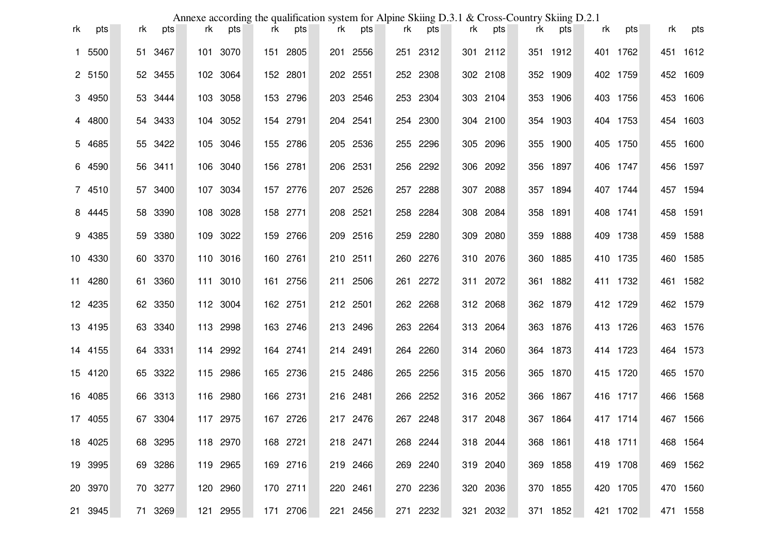|    |         |    |         |    |          | Annexe according the qualification system for Alpine Skiing D.3.1 & Cross-Country Skiing D.2.1 |          |    |          |    |          |    |          |    |          |    |          |    |          |
|----|---------|----|---------|----|----------|------------------------------------------------------------------------------------------------|----------|----|----------|----|----------|----|----------|----|----------|----|----------|----|----------|
| rk | pts     | rk | pts     | rk | pts      | rk                                                                                             | pts      | rk | pts      | rk | pts      | rk | pts      | rk | pts      | rk | pts      | rk | pts      |
|    | 1 5500  |    | 51 3467 |    | 101 3070 |                                                                                                | 151 2805 |    | 201 2556 |    | 251 2312 |    | 301 2112 |    | 351 1912 |    | 401 1762 |    | 451 1612 |
|    | 2 5150  |    | 52 3455 |    | 102 3064 |                                                                                                | 152 2801 |    | 202 2551 |    | 252 2308 |    | 302 2108 |    | 352 1909 |    | 402 1759 |    | 452 1609 |
|    | 3 4950  |    | 53 3444 |    | 103 3058 |                                                                                                | 153 2796 |    | 203 2546 |    | 253 2304 |    | 303 2104 |    | 353 1906 |    | 403 1756 |    | 453 1606 |
|    | 4 4800  |    | 54 3433 |    | 104 3052 |                                                                                                | 154 2791 |    | 204 2541 |    | 254 2300 |    | 304 2100 |    | 354 1903 |    | 404 1753 |    | 454 1603 |
|    | 5 4685  |    | 55 3422 |    | 105 3046 |                                                                                                | 155 2786 |    | 205 2536 |    | 255 2296 |    | 305 2096 |    | 355 1900 |    | 405 1750 |    | 455 1600 |
|    | 6 4590  |    | 56 3411 |    | 106 3040 |                                                                                                | 156 2781 |    | 206 2531 |    | 256 2292 |    | 306 2092 |    | 356 1897 |    | 406 1747 |    | 456 1597 |
|    | 7 4510  |    | 57 3400 |    | 107 3034 |                                                                                                | 157 2776 |    | 207 2526 |    | 257 2288 |    | 307 2088 |    | 357 1894 |    | 407 1744 |    | 457 1594 |
|    | 8 4445  |    | 58 3390 |    | 108 3028 |                                                                                                | 158 2771 |    | 208 2521 |    | 258 2284 |    | 308 2084 |    | 358 1891 |    | 408 1741 |    | 458 1591 |
|    | 9 4385  |    | 59 3380 |    | 109 3022 |                                                                                                | 159 2766 |    | 209 2516 |    | 259 2280 |    | 309 2080 |    | 359 1888 |    | 409 1738 |    | 459 1588 |
|    | 10 4330 |    | 60 3370 |    | 110 3016 |                                                                                                | 160 2761 |    | 210 2511 |    | 260 2276 |    | 310 2076 |    | 360 1885 |    | 410 1735 |    | 460 1585 |
|    | 11 4280 |    | 61 3360 |    | 111 3010 |                                                                                                | 161 2756 |    | 211 2506 |    | 261 2272 |    | 311 2072 |    | 361 1882 |    | 411 1732 |    | 461 1582 |
|    | 12 4235 |    | 62 3350 |    | 112 3004 |                                                                                                | 162 2751 |    | 212 2501 |    | 262 2268 |    | 312 2068 |    | 362 1879 |    | 412 1729 |    | 462 1579 |
|    | 13 4195 |    | 63 3340 |    | 113 2998 |                                                                                                | 163 2746 |    | 213 2496 |    | 263 2264 |    | 313 2064 |    | 363 1876 |    | 413 1726 |    | 463 1576 |
|    | 14 4155 |    | 64 3331 |    | 114 2992 |                                                                                                | 164 2741 |    | 214 2491 |    | 264 2260 |    | 314 2060 |    | 364 1873 |    | 414 1723 |    | 464 1573 |
|    | 15 4120 |    | 65 3322 |    | 115 2986 |                                                                                                | 165 2736 |    | 215 2486 |    | 265 2256 |    | 315 2056 |    | 365 1870 |    | 415 1720 |    | 465 1570 |
|    | 16 4085 |    | 66 3313 |    | 116 2980 |                                                                                                | 166 2731 |    | 216 2481 |    | 266 2252 |    | 316 2052 |    | 366 1867 |    | 416 1717 |    | 466 1568 |
|    | 17 4055 |    | 67 3304 |    | 117 2975 |                                                                                                | 167 2726 |    | 217 2476 |    | 267 2248 |    | 317 2048 |    | 367 1864 |    | 417 1714 |    | 467 1566 |
|    | 18 4025 |    | 68 3295 |    | 118 2970 |                                                                                                | 168 2721 |    | 218 2471 |    | 268 2244 |    | 318 2044 |    | 368 1861 |    | 418 1711 |    | 468 1564 |
|    | 19 3995 |    | 69 3286 |    | 119 2965 |                                                                                                | 169 2716 |    | 219 2466 |    | 269 2240 |    | 319 2040 |    | 369 1858 |    | 419 1708 |    | 469 1562 |
|    | 20 3970 |    | 70 3277 |    | 120 2960 |                                                                                                | 170 2711 |    | 220 2461 |    | 270 2236 |    | 320 2036 |    | 370 1855 |    | 420 1705 |    | 470 1560 |
|    | 21 3945 |    | 71 3269 |    | 121 2955 |                                                                                                | 171 2706 |    | 221 2456 |    | 271 2232 |    | 321 2032 |    | 371 1852 |    | 421 1702 |    | 471 1558 |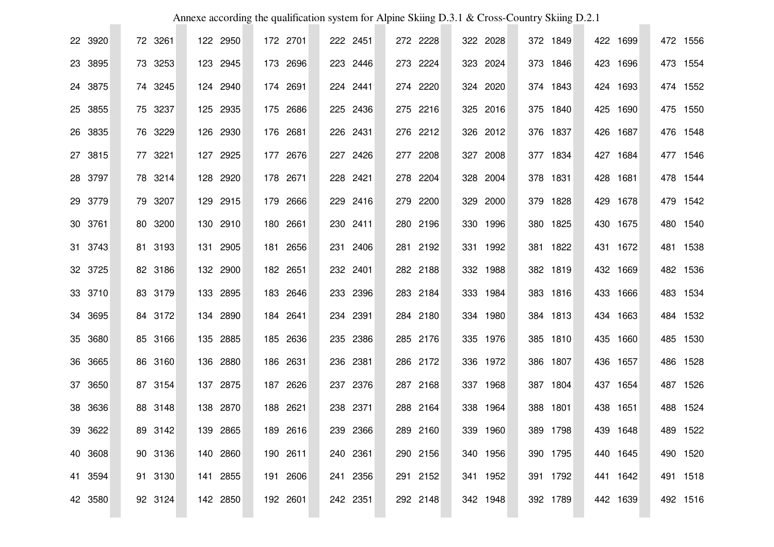|         |         | Annexe according the qualification system for Alpine Skiing D.3.1 & Cross-Country Skiing D.2.1 |             |          |          |          |          |             |             |
|---------|---------|------------------------------------------------------------------------------------------------|-------------|----------|----------|----------|----------|-------------|-------------|
| 22 3920 | 72 3261 | 122 2950                                                                                       | 172 2701    | 222 2451 | 272 2228 | 322 2028 | 372 1849 | 422 1699    | 472<br>1556 |
| 23 3895 | 73 3253 | 123 2945                                                                                       | 173 2696    | 223 2446 | 273 2224 | 323 2024 | 373 1846 | 423 1696    | 473 1554    |
| 24 3875 | 74 3245 | 124 2940                                                                                       | 174 2691    | 224 2441 | 274 2220 | 324 2020 | 374 1843 | 424 1693    | 474 1552    |
| 25 3855 | 75 3237 | 125 2935                                                                                       | 175 2686    | 225 2436 | 275 2216 | 325 2016 | 375 1840 | 425 1690    | 475 1550    |
| 26 3835 | 76 3229 | 126 2930                                                                                       | 176 2681    | 226 2431 | 276 2212 | 326 2012 | 376 1837 | 426 1687    | 476 1548    |
| 27 3815 | 77 3221 | 127 2925                                                                                       | 177 2676    | 227 2426 | 277 2208 | 327 2008 | 377 1834 | 427 1684    | 477 1546    |
| 28 3797 | 78 3214 | 128 2920                                                                                       | 178 2671    | 228 2421 | 278 2204 | 328 2004 | 378 1831 | 428 1681    | 478 1544    |
| 29 3779 | 79 3207 | 129 2915                                                                                       | 179 2666    | 229 2416 | 279 2200 | 329 2000 | 379 1828 | 429 1678    | 479 1542    |
| 30 3761 | 80 3200 | 130 2910                                                                                       | 180 2661    | 230 2411 | 280 2196 | 330 1996 | 380 1825 | 430 1675    | 480 1540    |
| 31 3743 | 81 3193 | 2905<br>131                                                                                    | 181<br>2656 | 231 2406 | 281 2192 | 331 1992 | 381 1822 | 431 1672    | 481<br>1538 |
| 32 3725 | 82 3186 | 132 2900                                                                                       | 182 2651    | 232 2401 | 282 2188 | 332 1988 | 382 1819 | 432 1669    | 482 1536    |
| 33 3710 | 83 3179 | 133 2895                                                                                       | 183 2646    | 233 2396 | 283 2184 | 333 1984 | 383 1816 | 433 1666    | 483 1534    |
| 34 3695 | 84 3172 | 134 2890                                                                                       | 184 2641    | 234 2391 | 284 2180 | 334 1980 | 384 1813 | 434 1663    | 484 1532    |
| 35 3680 | 85 3166 | 135 2885                                                                                       | 185 2636    | 235 2386 | 285 2176 | 335 1976 | 385 1810 | 435 1660    | 485 1530    |
| 36 3665 | 86 3160 | 136 2880                                                                                       | 186 2631    | 236 2381 | 286 2172 | 336 1972 | 386 1807 | 436 1657    | 486 1528    |
| 37 3650 | 87 3154 | 137 2875                                                                                       | 187 2626    | 237 2376 | 287 2168 | 337 1968 | 387 1804 | 437 1654    | 487 1526    |
| 38 3636 | 88 3148 | 2870<br>138                                                                                    | 188<br>2621 | 238 2371 | 288 2164 | 338 1964 | 388 1801 | 1651<br>438 | 488 1524    |
| 39 3622 | 89 3142 | 139 2865                                                                                       | 189 2616    | 239 2366 | 289 2160 | 339 1960 | 389 1798 | 439 1648    | 489 1522    |
| 40 3608 | 90 3136 | 140 2860                                                                                       | 190 2611    | 240 2361 | 290 2156 | 340 1956 | 390 1795 | 440 1645    | 490 1520    |
| 41 3594 | 91 3130 | 141 2855                                                                                       | 191 2606    | 241 2356 | 291 2152 | 341 1952 | 391 1792 | 441 1642    | 491 1518    |
| 42 3580 | 92 3124 | 142 2850                                                                                       | 192 2601    | 242 2351 | 292 2148 | 342 1948 | 392 1789 | 442 1639    | 492 1516    |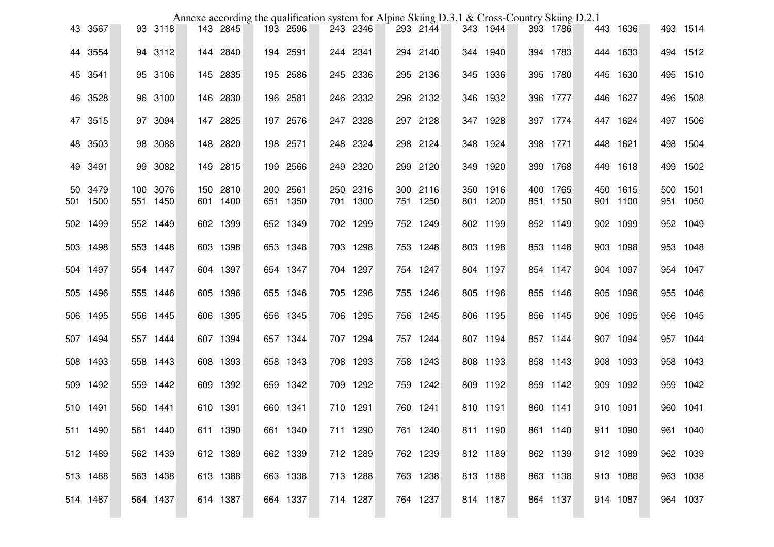|    |          |          | Annexe according the qualification system for Alpine Skiing D.3.1 & Cross-Country Skiing D.2.1 |          |     |          |  |          |  |          |  |          |          |          |     |                  |
|----|----------|----------|------------------------------------------------------------------------------------------------|----------|-----|----------|--|----------|--|----------|--|----------|----------|----------|-----|------------------|
|    | 43 3567  | 93 3118  |                                                                                                | 143 2845 |     | 193 2596 |  | 243 2346 |  | 293 2144 |  | 343 1944 | 393 1786 | 443 1636 |     | 493 1514         |
|    | 44 3554  | 94 3112  |                                                                                                | 144 2840 |     | 194 2591 |  | 244 2341 |  | 294 2140 |  | 344 1940 | 394 1783 | 444 1633 |     | 494 1512         |
|    | 45 3541  | 95 3106  |                                                                                                | 145 2835 |     | 195 2586 |  | 245 2336 |  | 295 2136 |  | 345 1936 | 395 1780 | 445 1630 |     | 495 1510         |
|    | 46 3528  | 96 3100  |                                                                                                | 146 2830 |     | 196 2581 |  | 246 2332 |  | 296 2132 |  | 346 1932 | 396 1777 | 446 1627 |     | 496 1508         |
|    | 47 3515  | 97 3094  |                                                                                                | 147 2825 |     | 197 2576 |  | 247 2328 |  | 297 2128 |  | 347 1928 | 397 1774 | 447 1624 |     | 497 1506         |
| 48 | 3503     | 98 3088  |                                                                                                | 148 2820 |     | 198 2571 |  | 248 2324 |  | 298 2124 |  | 348 1924 | 398 1771 | 448 1621 |     | 498 1504         |
| 49 | 3491     | 99 3082  |                                                                                                | 149 2815 | 199 | 2566     |  | 249 2320 |  | 299 2120 |  | 349 1920 | 399 1768 | 449 1618 | 499 | 1502             |
| 50 | 3479     | 100 3076 |                                                                                                | 150 2810 |     | 200 2561 |  | 250 2316 |  | 300 2116 |  | 350 1916 | 400 1765 | 450 1615 | 500 | 1501<br>951 1050 |
|    | 501 1500 | 551 1450 |                                                                                                | 601 1400 |     | 651 1350 |  | 701 1300 |  | 751 1250 |  | 801 1200 | 851 1150 | 901 1100 |     |                  |
|    | 502 1499 | 552 1449 |                                                                                                | 602 1399 |     | 652 1349 |  | 702 1299 |  | 752 1249 |  | 802 1199 | 852 1149 | 902 1099 |     | 952 1049         |
|    | 503 1498 | 553 1448 |                                                                                                | 603 1398 |     | 653 1348 |  | 703 1298 |  | 753 1248 |  | 803 1198 | 853 1148 | 903 1098 |     | 953 1048         |
|    | 504 1497 | 554 1447 |                                                                                                | 604 1397 |     | 654 1347 |  | 704 1297 |  | 754 1247 |  | 804 1197 | 854 1147 | 904 1097 |     | 954 1047         |
|    | 505 1496 | 555 1446 |                                                                                                | 605 1396 |     | 655 1346 |  | 705 1296 |  | 755 1246 |  | 805 1196 | 855 1146 | 905 1096 |     | 955 1046         |
|    | 506 1495 | 556 1445 |                                                                                                | 606 1395 |     | 656 1345 |  | 706 1295 |  | 756 1245 |  | 806 1195 | 856 1145 | 906 1095 |     | 956 1045         |
|    | 507 1494 | 557 1444 |                                                                                                | 607 1394 |     | 657 1344 |  | 707 1294 |  | 757 1244 |  | 807 1194 | 857 1144 | 907 1094 |     | 957 1044         |
|    | 508 1493 | 558 1443 |                                                                                                | 608 1393 |     | 658 1343 |  | 708 1293 |  | 758 1243 |  | 808 1193 | 858 1143 | 908 1093 |     | 958 1043         |
|    | 509 1492 | 559 1442 |                                                                                                | 609 1392 |     | 659 1342 |  | 709 1292 |  | 759 1242 |  | 809 1192 | 859 1142 | 909 1092 |     | 959 1042         |
|    | 510 1491 | 560 1441 |                                                                                                | 610 1391 |     | 660 1341 |  | 710 1291 |  | 760 1241 |  | 810 1191 | 860 1141 | 910 1091 |     | 960 1041         |
|    | 511 1490 | 561 1440 |                                                                                                | 611 1390 |     | 661 1340 |  | 711 1290 |  | 761 1240 |  | 811 1190 | 861 1140 | 911 1090 |     | 961 1040         |
|    | 512 1489 | 562 1439 |                                                                                                | 612 1389 |     | 662 1339 |  | 712 1289 |  | 762 1239 |  | 812 1189 | 862 1139 | 912 1089 |     | 962 1039         |
|    | 513 1488 | 563 1438 |                                                                                                | 613 1388 |     | 663 1338 |  | 713 1288 |  | 763 1238 |  | 813 1188 | 863 1138 | 913 1088 |     | 963 1038         |
|    | 514 1487 | 564 1437 |                                                                                                | 614 1387 |     | 664 1337 |  | 714 1287 |  | 764 1237 |  | 814 1187 | 864 1137 | 914 1087 |     | 964 1037         |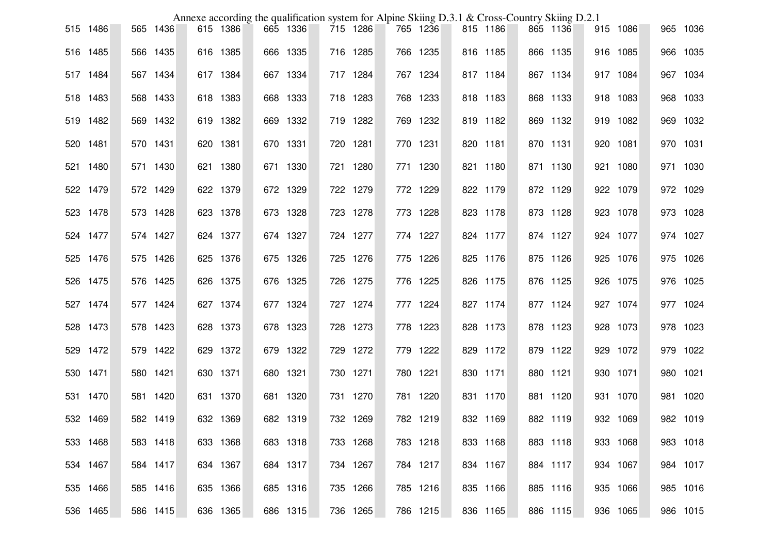|          |          | Annexe according the qualification system for Alpine Skiing D.3.1 & Cross-Country Skiing D.2.1 |          |          |          |  |          |          |  |          |          |          |
|----------|----------|------------------------------------------------------------------------------------------------|----------|----------|----------|--|----------|----------|--|----------|----------|----------|
| 515 1486 | 565 1436 |                                                                                                | 615 1386 | 665 1336 | 715 1286 |  | 765 1236 | 815 1186 |  | 865 1136 | 915 1086 | 965 1036 |
| 516 1485 | 566 1435 |                                                                                                | 616 1385 | 666 1335 | 716 1285 |  | 766 1235 | 816 1185 |  | 866 1135 | 916 1085 | 966 1035 |
| 517 1484 | 567 1434 |                                                                                                | 617 1384 | 667 1334 | 717 1284 |  | 767 1234 | 817 1184 |  | 867 1134 | 917 1084 | 967 1034 |
| 518 1483 | 568 1433 |                                                                                                | 618 1383 | 668 1333 | 718 1283 |  | 768 1233 | 818 1183 |  | 868 1133 | 918 1083 | 968 1033 |
| 519 1482 | 569 1432 |                                                                                                | 619 1382 | 669 1332 | 719 1282 |  | 769 1232 | 819 1182 |  | 869 1132 | 919 1082 | 969 1032 |
| 520 1481 | 570 1431 |                                                                                                | 620 1381 | 670 1331 | 720 1281 |  | 770 1231 | 820 1181 |  | 870 1131 | 920 1081 | 970 1031 |
| 521 1480 | 571 1430 |                                                                                                | 621 1380 | 671 1330 | 721 1280 |  | 771 1230 | 821 1180 |  | 871 1130 | 921 1080 | 971 1030 |
| 522 1479 | 572 1429 |                                                                                                | 622 1379 | 672 1329 | 722 1279 |  | 772 1229 | 822 1179 |  | 872 1129 | 922 1079 | 972 1029 |
| 523 1478 | 573 1428 |                                                                                                | 623 1378 | 673 1328 | 723 1278 |  | 773 1228 | 823 1178 |  | 873 1128 | 923 1078 | 973 1028 |
| 524 1477 | 574 1427 |                                                                                                | 624 1377 | 674 1327 | 724 1277 |  | 774 1227 | 824 1177 |  | 874 1127 | 924 1077 | 974 1027 |
| 525 1476 | 575 1426 |                                                                                                | 625 1376 | 675 1326 | 725 1276 |  | 775 1226 | 825 1176 |  | 875 1126 | 925 1076 | 975 1026 |
| 526 1475 | 576 1425 |                                                                                                | 626 1375 | 676 1325 | 726 1275 |  | 776 1225 | 826 1175 |  | 876 1125 | 926 1075 | 976 1025 |
| 527 1474 | 577 1424 |                                                                                                | 627 1374 | 677 1324 | 727 1274 |  | 777 1224 | 827 1174 |  | 877 1124 | 927 1074 | 977 1024 |
| 528 1473 | 578 1423 |                                                                                                | 628 1373 | 678 1323 | 728 1273 |  | 778 1223 | 828 1173 |  | 878 1123 | 928 1073 | 978 1023 |
| 529 1472 | 579 1422 |                                                                                                | 629 1372 | 679 1322 | 729 1272 |  | 779 1222 | 829 1172 |  | 879 1122 | 929 1072 | 979 1022 |
| 530 1471 | 580 1421 |                                                                                                | 630 1371 | 680 1321 | 730 1271 |  | 780 1221 | 830 1171 |  | 880 1121 | 930 1071 | 980 1021 |
| 531 1470 | 581 1420 |                                                                                                | 631 1370 | 681 1320 | 731 1270 |  | 781 1220 | 831 1170 |  | 881 1120 | 931 1070 | 981 1020 |
| 532 1469 | 582 1419 |                                                                                                | 632 1369 | 682 1319 | 732 1269 |  | 782 1219 | 832 1169 |  | 882 1119 | 932 1069 | 982 1019 |
| 533 1468 | 583 1418 |                                                                                                | 633 1368 | 683 1318 | 733 1268 |  | 783 1218 | 833 1168 |  | 883 1118 | 933 1068 | 983 1018 |
| 534 1467 | 584 1417 |                                                                                                | 634 1367 | 684 1317 | 734 1267 |  | 784 1217 | 834 1167 |  | 884 1117 | 934 1067 | 984 1017 |
| 535 1466 | 585 1416 |                                                                                                | 635 1366 | 685 1316 | 735 1266 |  | 785 1216 | 835 1166 |  | 885 1116 | 935 1066 | 985 1016 |
| 536 1465 | 586 1415 |                                                                                                | 636 1365 | 686 1315 | 736 1265 |  | 786 1215 | 836 1165 |  | 886 1115 | 936 1065 | 986 1015 |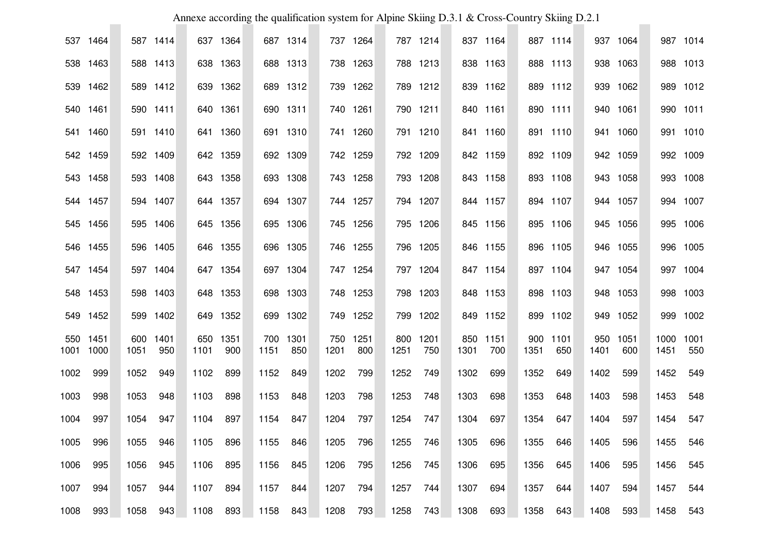|      |                  |      |                 |      |                 |             |             |             |             |                  |          |      |                 | Annexe according the qualification system for Alpine Skiing D.3.1 & Cross-Country Skiing D.2.1 |                 |             |             |              |             |
|------|------------------|------|-----------------|------|-----------------|-------------|-------------|-------------|-------------|------------------|----------|------|-----------------|------------------------------------------------------------------------------------------------|-----------------|-------------|-------------|--------------|-------------|
|      | 537 1464         |      | 587 1414        |      | 637 1364        |             | 687 1314    |             | 737 1264    |                  | 787 1214 |      | 837 1164        |                                                                                                | 887 1114        | 937         | 1064        |              | 987 1014    |
|      | 538 1463         |      | 588 1413        |      | 638 1363        |             | 688 1313    |             | 738 1263    |                  | 788 1213 |      | 838 1163        |                                                                                                | 888 1113        | 938         | 1063        |              | 988 1013    |
|      | 539 1462         |      | 589 1412        |      | 639 1362        |             | 689 1312    |             | 739 1262    |                  | 789 1212 |      | 839 1162        |                                                                                                | 889 1112        |             | 939 1062    |              | 989 1012    |
|      | 540 1461         |      | 590 1411        |      | 640 1361        |             | 690 1311    |             | 740 1261    |                  | 790 1211 |      | 840 1161        |                                                                                                | 890 1111        | 940         | 1061        |              | 990 1011    |
|      | 541 1460         |      | 591 1410        |      | 641 1360        |             | 691 1310    |             | 741 1260    |                  | 791 1210 |      | 841 1160        |                                                                                                | 891 1110        |             | 941 1060    |              | 991 1010    |
|      | 542 1459         |      | 592 1409        |      | 642 1359        |             | 692 1309    |             | 742 1259    |                  | 792 1209 |      | 842 1159        |                                                                                                | 892 1109        |             | 942 1059    |              | 992 1009    |
|      | 543 1458         |      | 593 1408        |      | 643 1358        |             | 693 1308    |             | 743 1258    |                  | 793 1208 |      | 843 1158        |                                                                                                | 893 1108        |             | 943 1058    |              | 993 1008    |
|      | 544 1457         |      | 594 1407        |      | 644 1357        |             | 694 1307    |             | 744 1257    |                  | 794 1207 |      | 844 1157        |                                                                                                | 894 1107        |             | 944 1057    |              | 994 1007    |
| 545  | 1456             |      | 595 1406        |      | 645 1356        | 695         | 1306        |             | 745 1256    |                  | 795 1206 |      | 845 1156        |                                                                                                | 895 1106        |             | 945 1056    |              | 995 1006    |
| 546  | 1455             |      | 596 1405        |      | 646 1355        | 696         | 1305        |             | 746 1255    |                  | 796 1205 |      | 846 1155        |                                                                                                | 896 1105        |             | 946 1055    |              | 996 1005    |
| 547  | 1454             |      | 597 1404        |      | 647 1354        |             | 697 1304    |             | 747 1254    |                  | 797 1204 |      | 847 1154        |                                                                                                | 897 1104        |             | 947 1054    |              | 997 1004    |
|      | 548 1453         |      | 598 1403        |      | 648 1353        |             | 698 1303    |             | 748 1253    |                  | 798 1203 |      | 848 1153        |                                                                                                | 898 1103        |             | 948 1053    |              | 998 1003    |
|      | 549 1452         |      | 599 1402        |      | 649 1352        |             | 699 1302    |             | 749 1252    |                  | 799 1202 |      | 849 1152        |                                                                                                | 899 1102        |             | 949 1052    | 999          | 1002        |
| 1001 | 550 1451<br>1000 | 1051 | 600 1401<br>950 | 1101 | 650 1351<br>900 | 700<br>1151 | 1301<br>850 | 750<br>1201 | 1251<br>800 | 800 1201<br>1251 | 750      | 1301 | 850 1151<br>700 | 1351                                                                                           | 900 1101<br>650 | 950<br>1401 | 1051<br>600 | 1000<br>1451 | 1001<br>550 |
| 1002 | 999              | 1052 | 949             | 1102 | 899             | 1152        | 849         | 1202        | 799         | 1252             | 749      | 1302 | 699             | 1352                                                                                           | 649             | 1402        | 599         | 1452         | 549         |
| 1003 | 998              | 1053 | 948             | 1103 | 898             | 1153        | 848         | 1203        | 798         | 1253             | 748      | 1303 | 698             | 1353                                                                                           | 648             | 1403        | 598         | 1453         | 548         |
| 1004 | 997              | 1054 | 947             | 1104 | 897             | 1154        | 847         | 1204        | 797         | 1254             | 747      | 1304 | 697             | 1354                                                                                           | 647             | 1404        | 597         | 1454         | 547         |
| 1005 | 996              | 1055 | 946             | 1105 | 896             | 1155        | 846         | 1205        | 796         | 1255             | 746      | 1305 | 696             | 1355                                                                                           | 646             | 1405        | 596         | 1455         | 546         |
| 1006 | 995              | 1056 | 945             | 1106 | 895             | 1156        | 845         | 1206        | 795         | 1256             | 745      | 1306 | 695             | 1356                                                                                           | 645             | 1406        | 595         | 1456         | 545         |
| 1007 | 994              | 1057 | 944             | 1107 | 894             | 1157        | 844         | 1207        | 794         | 1257             | 744      | 1307 | 694             | 1357                                                                                           | 644             | 1407        | 594         | 1457         | 544         |
| 1008 | 993              | 1058 | 943             | 1108 | 893             | 1158        | 843         | 1208        | 793         | 1258             | 743      | 1308 | 693             | 1358                                                                                           | 643             | 1408        | 593         | 1458         | 543         |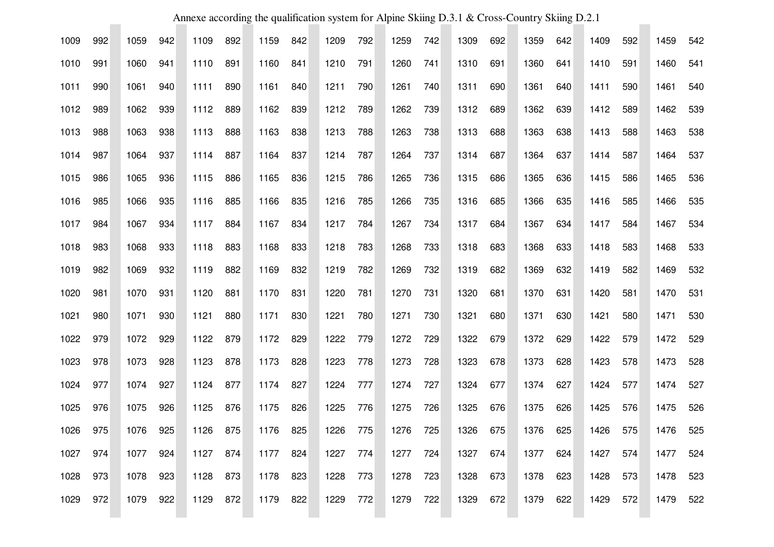| Annexe according the qualification system for Alpine Skiing D.3.1 & Cross-Country Skiing D.2.1 |     |      |     |      |     |      |     |      |     |      |     |      |     |      |     |      |     |      |     |
|------------------------------------------------------------------------------------------------|-----|------|-----|------|-----|------|-----|------|-----|------|-----|------|-----|------|-----|------|-----|------|-----|
| 1009                                                                                           | 992 | 1059 | 942 | 1109 | 892 | 1159 | 842 | 1209 | 792 | 1259 | 742 | 1309 | 692 | 1359 | 642 | 1409 | 592 | 1459 | 542 |
| 1010                                                                                           | 991 | 1060 | 941 | 1110 | 891 | 1160 | 841 | 1210 | 791 | 1260 | 741 | 1310 | 691 | 1360 | 641 | 1410 | 591 | 1460 | 541 |
| 1011                                                                                           | 990 | 1061 | 940 | 1111 | 890 | 1161 | 840 | 1211 | 790 | 1261 | 740 | 1311 | 690 | 1361 | 640 | 1411 | 590 | 1461 | 540 |
| 1012                                                                                           | 989 | 1062 | 939 | 1112 | 889 | 1162 | 839 | 1212 | 789 | 1262 | 739 | 1312 | 689 | 1362 | 639 | 1412 | 589 | 1462 | 539 |
| 1013                                                                                           | 988 | 1063 | 938 | 1113 | 888 | 1163 | 838 | 1213 | 788 | 1263 | 738 | 1313 | 688 | 1363 | 638 | 1413 | 588 | 1463 | 538 |
| 1014                                                                                           | 987 | 1064 | 937 | 1114 | 887 | 1164 | 837 | 1214 | 787 | 1264 | 737 | 1314 | 687 | 1364 | 637 | 1414 | 587 | 1464 | 537 |
| 1015                                                                                           | 986 | 1065 | 936 | 1115 | 886 | 1165 | 836 | 1215 | 786 | 1265 | 736 | 1315 | 686 | 1365 | 636 | 1415 | 586 | 1465 | 536 |
| 1016                                                                                           | 985 | 1066 | 935 | 1116 | 885 | 1166 | 835 | 1216 | 785 | 1266 | 735 | 1316 | 685 | 1366 | 635 | 1416 | 585 | 1466 | 535 |
| 1017                                                                                           | 984 | 1067 | 934 | 1117 | 884 | 1167 | 834 | 1217 | 784 | 1267 | 734 | 1317 | 684 | 1367 | 634 | 1417 | 584 | 1467 | 534 |
| 1018                                                                                           | 983 | 1068 | 933 | 1118 | 883 | 1168 | 833 | 1218 | 783 | 1268 | 733 | 1318 | 683 | 1368 | 633 | 1418 | 583 | 1468 | 533 |
| 1019                                                                                           | 982 | 1069 | 932 | 1119 | 882 | 1169 | 832 | 1219 | 782 | 1269 | 732 | 1319 | 682 | 1369 | 632 | 1419 | 582 | 1469 | 532 |
| 1020                                                                                           | 981 | 1070 | 931 | 1120 | 881 | 1170 | 831 | 1220 | 781 | 1270 | 731 | 1320 | 681 | 1370 | 631 | 1420 | 581 | 1470 | 531 |
| 1021                                                                                           | 980 | 1071 | 930 | 1121 | 880 | 1171 | 830 | 1221 | 780 | 1271 | 730 | 1321 | 680 | 1371 | 630 | 1421 | 580 | 1471 | 530 |
| 1022                                                                                           | 979 | 1072 | 929 | 1122 | 879 | 1172 | 829 | 1222 | 779 | 1272 | 729 | 1322 | 679 | 1372 | 629 | 1422 | 579 | 1472 | 529 |
| 1023                                                                                           | 978 | 1073 | 928 | 1123 | 878 | 1173 | 828 | 1223 | 778 | 1273 | 728 | 1323 | 678 | 1373 | 628 | 1423 | 578 | 1473 | 528 |
| 1024                                                                                           | 977 | 1074 | 927 | 1124 | 877 | 1174 | 827 | 1224 | 777 | 1274 | 727 | 1324 | 677 | 1374 | 627 | 1424 | 577 | 1474 | 527 |
| 1025                                                                                           | 976 | 1075 | 926 | 1125 | 876 | 1175 | 826 | 1225 | 776 | 1275 | 726 | 1325 | 676 | 1375 | 626 | 1425 | 576 | 1475 | 526 |
| 1026                                                                                           | 975 | 1076 | 925 | 1126 | 875 | 1176 | 825 | 1226 | 775 | 1276 | 725 | 1326 | 675 | 1376 | 625 | 1426 | 575 | 1476 | 525 |
| 1027                                                                                           | 974 | 1077 | 924 | 1127 | 874 | 1177 | 824 | 1227 | 774 | 1277 | 724 | 1327 | 674 | 1377 | 624 | 1427 | 574 | 1477 | 524 |
| 1028                                                                                           | 973 | 1078 | 923 | 1128 | 873 | 1178 | 823 | 1228 | 773 | 1278 | 723 | 1328 | 673 | 1378 | 623 | 1428 | 573 | 1478 | 523 |
| 1029                                                                                           | 972 | 1079 | 922 | 1129 | 872 | 1179 | 822 | 1229 | 772 | 1279 | 722 | 1329 | 672 | 1379 | 622 | 1429 | 572 | 1479 | 522 |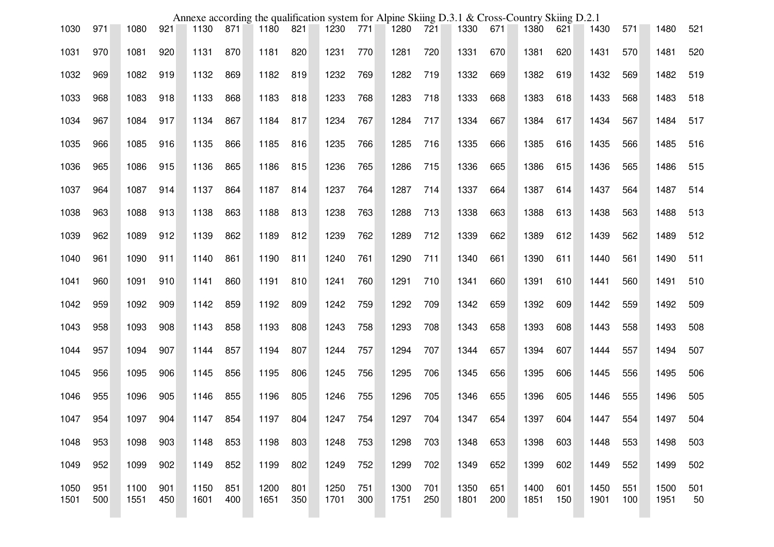|              |            |              |            |              |            |              |            | Annexe according the qualification system for Alpine Skiing D.3.1 & Cross-Country Skiing D.2.1 |            |              |            |              |            |              |            |              |            |              |           |
|--------------|------------|--------------|------------|--------------|------------|--------------|------------|------------------------------------------------------------------------------------------------|------------|--------------|------------|--------------|------------|--------------|------------|--------------|------------|--------------|-----------|
| 1030         | 971        | 1080         | 921        | 1130         | 871        | 1180         | 821        | 1230                                                                                           | 771        | 1280         | 721        | 1330         | 671        | 1380         | 621        | 1430         | 571        | 1480         | 521       |
| 1031         | 970        | 1081         | 920        | 1131         | 870        | 1181         | 820        | 1231                                                                                           | 770        | 1281         | 720        | 1331         | 670        | 1381         | 620        | 1431         | 570        | 1481         | 520       |
| 1032         | 969        | 1082         | 919        | 1132         | 869        | 1182         | 819        | 1232                                                                                           | 769        | 1282         | 719        | 1332         | 669        | 1382         | 619        | 1432         | 569        | 1482         | 519       |
| 1033         | 968        | 1083         | 918        | 1133         | 868        | 1183         | 818        | 1233                                                                                           | 768        | 1283         | 718        | 1333         | 668        | 1383         | 618        | 1433         | 568        | 1483         | 518       |
| 1034         | 967        | 1084         | 917        | 1134         | 867        | 1184         | 817        | 1234                                                                                           | 767        | 1284         | 717        | 1334         | 667        | 1384         | 617        | 1434         | 567        | 1484         | 517       |
| 1035         | 966        | 1085         | 916        | 1135         | 866        | 1185         | 816        | 1235                                                                                           | 766        | 1285         | 716        | 1335         | 666        | 1385         | 616        | 1435         | 566        | 1485         | 516       |
| 1036         | 965        | 1086         | 915        | 1136         | 865        | 1186         | 815        | 1236                                                                                           | 765        | 1286         | 715        | 1336         | 665        | 1386         | 615        | 1436         | 565        | 1486         | 515       |
| 1037         | 964        | 1087         | 914        | 1137         | 864        | 1187         | 814        | 1237                                                                                           | 764        | 1287         | 714        | 1337         | 664        | 1387         | 614        | 1437         | 564        | 1487         | 514       |
| 1038         | 963        | 1088         | 913        | 1138         | 863        | 1188         | 813        | 1238                                                                                           | 763        | 1288         | 713        | 1338         | 663        | 1388         | 613        | 1438         | 563        | 1488         | 513       |
| 1039         | 962        | 1089         | 912        | 1139         | 862        | 1189         | 812        | 1239                                                                                           | 762        | 1289         | 712        | 1339         | 662        | 1389         | 612        | 1439         | 562        | 1489         | 512       |
| 1040         | 961        | 1090         | 911        | 1140         | 861        | 1190         | 811        | 1240                                                                                           | 761        | 1290         | 711        | 1340         | 661        | 1390         | 611        | 1440         | 561        | 1490         | 511       |
| 1041         | 960        | 1091         | 910        | 1141         | 860        | 1191         | 810        | 1241                                                                                           | 760        | 1291         | 710        | 1341         | 660        | 1391         | 610        | 1441         | 560        | 1491         | 510       |
| 1042         | 959        | 1092         | 909        | 1142         | 859        | 1192         | 809        | 1242                                                                                           | 759        | 1292         | 709        | 1342         | 659        | 1392         | 609        | 1442         | 559        | 1492         | 509       |
| 1043         | 958        | 1093         | 908        | 1143         | 858        | 1193         | 808        | 1243                                                                                           | 758        | 1293         | 708        | 1343         | 658        | 1393         | 608        | 1443         | 558        | 1493         | 508       |
| 1044         | 957        | 1094         | 907        | 1144         | 857        | 1194         | 807        | 1244                                                                                           | 757        | 1294         | 707        | 1344         | 657        | 1394         | 607        | 1444         | 557        | 1494         | 507       |
| 1045         | 956        | 1095         | 906        | 1145         | 856        | 1195         | 806        | 1245                                                                                           | 756        | 1295         | 706        | 1345         | 656        | 1395         | 606        | 1445         | 556        | 1495         | 506       |
| 1046         | 955        | 1096         | 905        | 1146         | 855        | 1196         | 805        | 1246                                                                                           | 755        | 1296         | 705        | 1346         | 655        | 1396         | 605        | 1446         | 555        | 1496         | 505       |
| 1047         | 954        | 1097         | 904        | 1147         | 854        | 1197         | 804        | 1247                                                                                           | 754        | 1297         | 704        | 1347         | 654        | 1397         | 604        | 1447         | 554        | 1497         | 504       |
| 1048         | 953        | 1098         | 903        | 1148         | 853        | 1198         | 803        | 1248                                                                                           | 753        | 1298         | 703        | 1348         | 653        | 1398         | 603        | 1448         | 553        | 1498         | 503       |
| 1049         | 952        | 1099         | 902        | 1149         | 852        | 1199         | 802        | 1249                                                                                           | 752        | 1299         | 702        | 1349         | 652        | 1399         | 602        | 1449         | 552        | 1499         | 502       |
| 1050<br>1501 | 951<br>500 | 1100<br>1551 | 901<br>450 | 1150<br>1601 | 851<br>400 | 1200<br>1651 | 801<br>350 | 1250<br>1701                                                                                   | 751<br>300 | 1300<br>1751 | 701<br>250 | 1350<br>1801 | 651<br>200 | 1400<br>1851 | 601<br>150 | 1450<br>1901 | 551<br>100 | 1500<br>1951 | 501<br>50 |
|              |            |              |            |              |            |              |            |                                                                                                |            |              |            |              |            |              |            |              |            |              |           |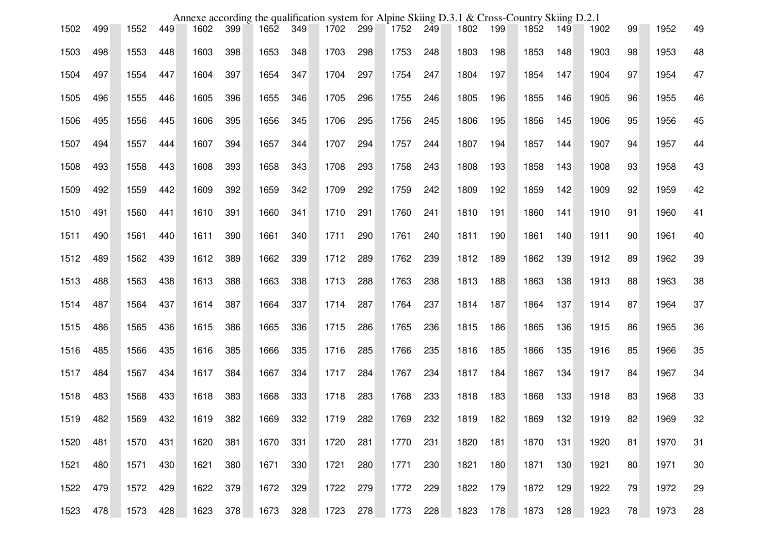|      |     |      |     |      |     |      |     | Annexe according the qualification system for Alpine Skiing D.3.1 & Cross-Country Skiing D.2.1 |     |      |     |      |     |      |     |      |    |      |    |
|------|-----|------|-----|------|-----|------|-----|------------------------------------------------------------------------------------------------|-----|------|-----|------|-----|------|-----|------|----|------|----|
| 1502 | 499 | 1552 | 449 | 1602 | 399 | 1652 | 349 | 1702                                                                                           | 299 | 1752 | 249 | 1802 | 199 | 1852 | 149 | 1902 | 99 | 1952 | 49 |
| 1503 | 498 | 1553 | 448 | 1603 | 398 | 1653 | 348 | 1703                                                                                           | 298 | 1753 | 248 | 1803 | 198 | 1853 | 148 | 1903 | 98 | 1953 | 48 |
| 1504 | 497 | 1554 | 447 | 1604 | 397 | 1654 | 347 | 1704                                                                                           | 297 | 1754 | 247 | 1804 | 197 | 1854 | 147 | 1904 | 97 | 1954 | 47 |
| 1505 | 496 | 1555 | 446 | 1605 | 396 | 1655 | 346 | 1705                                                                                           | 296 | 1755 | 246 | 1805 | 196 | 1855 | 146 | 1905 | 96 | 1955 | 46 |
| 1506 | 495 | 1556 | 445 | 1606 | 395 | 1656 | 345 | 1706                                                                                           | 295 | 1756 | 245 | 1806 | 195 | 1856 | 145 | 1906 | 95 | 1956 | 45 |
| 1507 | 494 | 1557 | 444 | 1607 | 394 | 1657 | 344 | 1707                                                                                           | 294 | 1757 | 244 | 1807 | 194 | 1857 | 144 | 1907 | 94 | 1957 | 44 |
| 1508 | 493 | 1558 | 443 | 1608 | 393 | 1658 | 343 | 1708                                                                                           | 293 | 1758 | 243 | 1808 | 193 | 1858 | 143 | 1908 | 93 | 1958 | 43 |
| 1509 | 492 | 1559 | 442 | 1609 | 392 | 1659 | 342 | 1709                                                                                           | 292 | 1759 | 242 | 1809 | 192 | 1859 | 142 | 1909 | 92 | 1959 | 42 |
| 1510 | 491 | 1560 | 441 | 1610 | 391 | 1660 | 341 | 1710                                                                                           | 291 | 1760 | 241 | 1810 | 191 | 1860 | 141 | 1910 | 91 | 1960 | 41 |
| 1511 | 490 | 1561 | 440 | 1611 | 390 | 1661 | 340 | 1711                                                                                           | 290 | 1761 | 240 | 1811 | 190 | 1861 | 140 | 1911 | 90 | 1961 | 40 |
| 1512 | 489 | 1562 | 439 | 1612 | 389 | 1662 | 339 | 1712                                                                                           | 289 | 1762 | 239 | 1812 | 189 | 1862 | 139 | 1912 | 89 | 1962 | 39 |
| 1513 | 488 | 1563 | 438 | 1613 | 388 | 1663 | 338 | 1713                                                                                           | 288 | 1763 | 238 | 1813 | 188 | 1863 | 138 | 1913 | 88 | 1963 | 38 |
| 1514 | 487 | 1564 | 437 | 1614 | 387 | 1664 | 337 | 1714                                                                                           | 287 | 1764 | 237 | 1814 | 187 | 1864 | 137 | 1914 | 87 | 1964 | 37 |
| 1515 | 486 | 1565 | 436 | 1615 | 386 | 1665 | 336 | 1715                                                                                           | 286 | 1765 | 236 | 1815 | 186 | 1865 | 136 | 1915 | 86 | 1965 | 36 |
| 1516 | 485 | 1566 | 435 | 1616 | 385 | 1666 | 335 | 1716                                                                                           | 285 | 1766 | 235 | 1816 | 185 | 1866 | 135 | 1916 | 85 | 1966 | 35 |
| 1517 | 484 | 1567 | 434 | 1617 | 384 | 1667 | 334 | 1717                                                                                           | 284 | 1767 | 234 | 1817 | 184 | 1867 | 134 | 1917 | 84 | 1967 | 34 |
| 1518 | 483 | 1568 | 433 | 1618 | 383 | 1668 | 333 | 1718                                                                                           | 283 | 1768 | 233 | 1818 | 183 | 1868 | 133 | 1918 | 83 | 1968 | 33 |
| 1519 | 482 | 1569 | 432 | 1619 | 382 | 1669 | 332 | 1719                                                                                           | 282 | 1769 | 232 | 1819 | 182 | 1869 | 132 | 1919 | 82 | 1969 | 32 |
| 1520 | 481 | 1570 | 431 | 1620 | 381 | 1670 | 331 | 1720                                                                                           | 281 | 1770 | 231 | 1820 | 181 | 1870 | 131 | 1920 | 81 | 1970 | 31 |
| 1521 | 480 | 1571 | 430 | 1621 | 380 | 1671 | 330 | 1721                                                                                           | 280 | 1771 | 230 | 1821 | 180 | 1871 | 130 | 1921 | 80 | 1971 | 30 |
| 1522 | 479 | 1572 | 429 | 1622 | 379 | 1672 | 329 | 1722                                                                                           | 279 | 1772 | 229 | 1822 | 179 | 1872 | 129 | 1922 | 79 | 1972 | 29 |
| 1523 | 478 | 1573 | 428 | 1623 | 378 | 1673 | 328 | 1723                                                                                           | 278 | 1773 | 228 | 1823 | 178 | 1873 | 128 | 1923 | 78 | 1973 | 28 |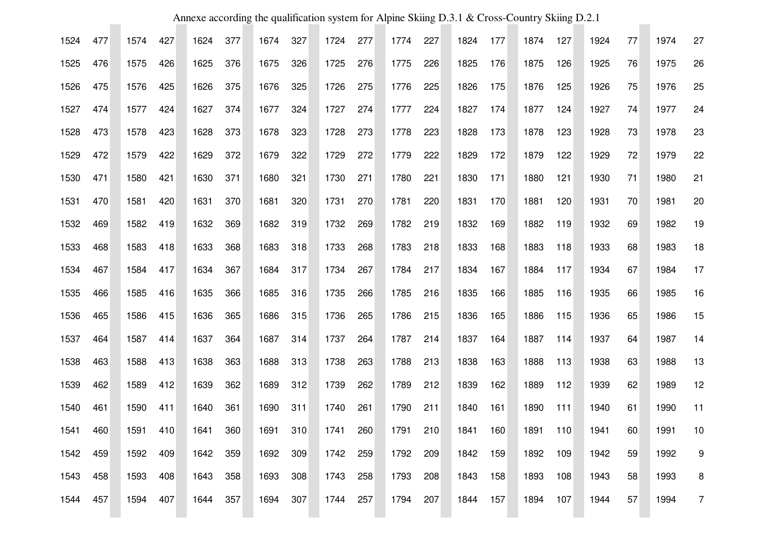| Annexe according the qualification system for Alpine Skiing D.3.1 & Cross-Country Skiing D.2.1 |     |      |     |      |     |      |     |      |     |      |     |      |     |      |     |      |    |      |                |
|------------------------------------------------------------------------------------------------|-----|------|-----|------|-----|------|-----|------|-----|------|-----|------|-----|------|-----|------|----|------|----------------|
| 1524                                                                                           | 477 | 1574 | 427 | 1624 | 377 | 1674 | 327 | 1724 | 277 | 1774 | 227 | 1824 | 177 | 1874 | 127 | 1924 | 77 | 1974 | 27             |
| 1525                                                                                           | 476 | 1575 | 426 | 1625 | 376 | 1675 | 326 | 1725 | 276 | 1775 | 226 | 1825 | 176 | 1875 | 126 | 1925 | 76 | 1975 | 26             |
| 1526                                                                                           | 475 | 1576 | 425 | 1626 | 375 | 1676 | 325 | 1726 | 275 | 1776 | 225 | 1826 | 175 | 1876 | 125 | 1926 | 75 | 1976 | 25             |
| 1527                                                                                           | 474 | 1577 | 424 | 1627 | 374 | 1677 | 324 | 1727 | 274 | 1777 | 224 | 1827 | 174 | 1877 | 124 | 1927 | 74 | 1977 | 24             |
| 1528                                                                                           | 473 | 1578 | 423 | 1628 | 373 | 1678 | 323 | 1728 | 273 | 1778 | 223 | 1828 | 173 | 1878 | 123 | 1928 | 73 | 1978 | 23             |
| 1529                                                                                           | 472 | 1579 | 422 | 1629 | 372 | 1679 | 322 | 1729 | 272 | 1779 | 222 | 1829 | 172 | 1879 | 122 | 1929 | 72 | 1979 | 22             |
| 1530                                                                                           | 471 | 1580 | 421 | 1630 | 371 | 1680 | 321 | 1730 | 271 | 1780 | 221 | 1830 | 171 | 1880 | 121 | 1930 | 71 | 1980 | 21             |
| 1531                                                                                           | 470 | 1581 | 420 | 1631 | 370 | 1681 | 320 | 1731 | 270 | 1781 | 220 | 1831 | 170 | 1881 | 120 | 1931 | 70 | 1981 | 20             |
| 1532                                                                                           | 469 | 1582 | 419 | 1632 | 369 | 1682 | 319 | 1732 | 269 | 1782 | 219 | 1832 | 169 | 1882 | 119 | 1932 | 69 | 1982 | 19             |
| 1533                                                                                           | 468 | 1583 | 418 | 1633 | 368 | 1683 | 318 | 1733 | 268 | 1783 | 218 | 1833 | 168 | 1883 | 118 | 1933 | 68 | 1983 | 18             |
| 1534                                                                                           | 467 | 1584 | 417 | 1634 | 367 | 1684 | 317 | 1734 | 267 | 1784 | 217 | 1834 | 167 | 1884 | 117 | 1934 | 67 | 1984 | 17             |
| 1535                                                                                           | 466 | 1585 | 416 | 1635 | 366 | 1685 | 316 | 1735 | 266 | 1785 | 216 | 1835 | 166 | 1885 | 116 | 1935 | 66 | 1985 | 16             |
| 1536                                                                                           | 465 | 1586 | 415 | 1636 | 365 | 1686 | 315 | 1736 | 265 | 1786 | 215 | 1836 | 165 | 1886 | 115 | 1936 | 65 | 1986 | 15             |
| 1537                                                                                           | 464 | 1587 | 414 | 1637 | 364 | 1687 | 314 | 1737 | 264 | 1787 | 214 | 1837 | 164 | 1887 | 114 | 1937 | 64 | 1987 | 14             |
| 1538                                                                                           | 463 | 1588 | 413 | 1638 | 363 | 1688 | 313 | 1738 | 263 | 1788 | 213 | 1838 | 163 | 1888 | 113 | 1938 | 63 | 1988 | 13             |
| 1539                                                                                           | 462 | 1589 | 412 | 1639 | 362 | 1689 | 312 | 1739 | 262 | 1789 | 212 | 1839 | 162 | 1889 | 112 | 1939 | 62 | 1989 | 12             |
| 1540                                                                                           | 461 | 1590 | 411 | 1640 | 361 | 1690 | 311 | 1740 | 261 | 1790 | 211 | 1840 | 161 | 1890 | 111 | 1940 | 61 | 1990 | 11             |
| 1541                                                                                           | 460 | 1591 | 410 | 1641 | 360 | 1691 | 310 | 1741 | 260 | 1791 | 210 | 1841 | 160 | 1891 | 110 | 1941 | 60 | 1991 | 10             |
| 1542                                                                                           | 459 | 1592 | 409 | 1642 | 359 | 1692 | 309 | 1742 | 259 | 1792 | 209 | 1842 | 159 | 1892 | 109 | 1942 | 59 | 1992 | 9              |
| 1543                                                                                           | 458 | 1593 | 408 | 1643 | 358 | 1693 | 308 | 1743 | 258 | 1793 | 208 | 1843 | 158 | 1893 | 108 | 1943 | 58 | 1993 | 8              |
| 1544                                                                                           | 457 | 1594 | 407 | 1644 | 357 | 1694 | 307 | 1744 | 257 | 1794 | 207 | 1844 | 157 | 1894 | 107 | 1944 | 57 | 1994 | $\overline{7}$ |